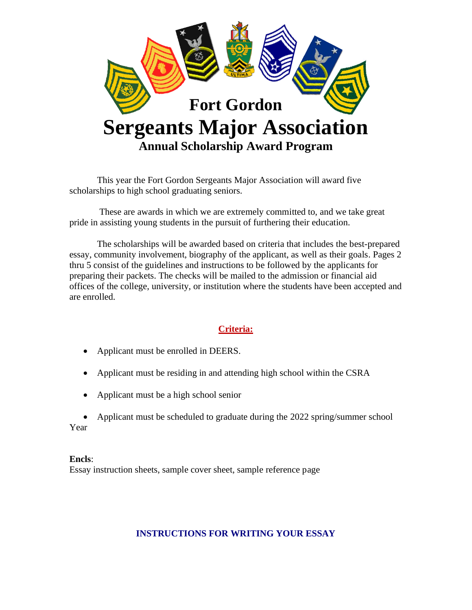

This year the Fort Gordon Sergeants Major Association will award five scholarships to high school graduating seniors.

These are awards in which we are extremely committed to, and we take great pride in assisting young students in the pursuit of furthering their education.

The scholarships will be awarded based on criteria that includes the best-prepared essay, community involvement, biography of the applicant, as well as their goals. Pages 2 thru 5 consist of the guidelines and instructions to be followed by the applicants for preparing their packets. The checks will be mailed to the admission or financial aid offices of the college, university, or institution where the students have been accepted and are enrolled.

# **Criteria:**

- Applicant must be enrolled in DEERS.
- Applicant must be residing in and attending high school within the CSRA
- Applicant must be a high school senior

• Applicant must be scheduled to graduate during the 2022 spring/summer school Year

### **Encls**:

Essay instruction sheets, sample cover sheet, sample reference page

## **INSTRUCTIONS FOR WRITING YOUR ESSAY**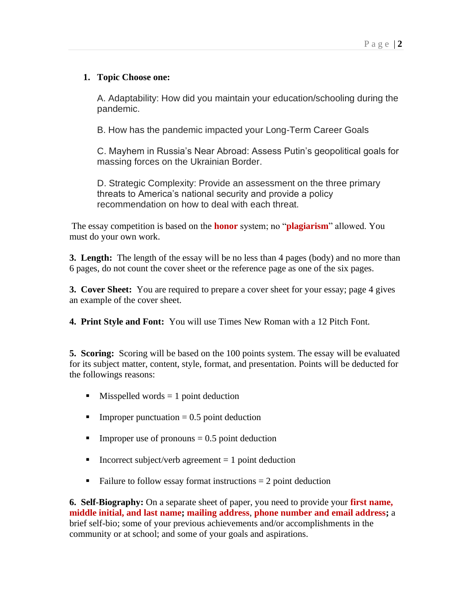### **1. Topic Choose one:**

A. Adaptability: How did you maintain your education/schooling during the pandemic.

B. How has the pandemic impacted your Long-Term Career Goals

C. Mayhem in Russia's Near Abroad: Assess Putin's geopolitical goals for massing forces on the Ukrainian Border.

D. Strategic Complexity: Provide an assessment on the three primary threats to America's national security and provide a policy recommendation on how to deal with each threat.

The essay competition is based on the **honor** system; no "**plagiarism**" allowed. You must do your own work.

**3. Length:** The length of the essay will be no less than 4 pages (body) and no more than 6 pages, do not count the cover sheet or the reference page as one of the six pages.

**3. Cover Sheet:** You are required to prepare a cover sheet for your essay; page 4 gives an example of the cover sheet.

**4. Print Style and Font:** You will use Times New Roman with a 12 Pitch Font.

**5. Scoring:** Scoring will be based on the 100 points system. The essay will be evaluated for its subject matter, content, style, format, and presentation. Points will be deducted for the followings reasons:

- $\blacksquare$  Misspelled words = 1 point deduction
- **•** Improper punctuation  $= 0.5$  point deduction
- **•** Improper use of pronouns  $= 0.5$  point deduction
- Incorrect subject/verb agreement  $= 1$  point deduction
- Failure to follow essay format instructions  $= 2$  point deduction

**6. Self-Biography:** On a separate sheet of paper, you need to provide your **first name, middle initial, and last name; mailing address**, **phone number and email address;** a brief self-bio; some of your previous achievements and/or accomplishments in the community or at school; and some of your goals and aspirations.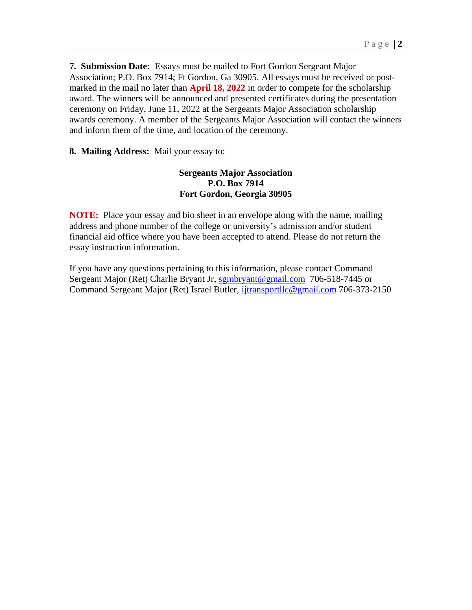**7. Submission Date:** Essays must be mailed to Fort Gordon Sergeant Major Association; P.O. Box 7914; Ft Gordon, Ga 30905. All essays must be received or postmarked in the mail no later than **April 18, 2022** in order to compete for the scholarship award. The winners will be announced and presented certificates during the presentation ceremony on Friday, June 11, 2022 at the Sergeants Major Association scholarship awards ceremony. A member of the Sergeants Major Association will contact the winners and inform them of the time, and location of the ceremony.

**8. Mailing Address:** Mail your essay to:

### **Sergeants Major Association P.O. Box 7914 Fort Gordon, Georgia 30905**

**NOTE:** Place your essay and bio sheet in an envelope along with the name, mailing address and phone number of the college or university's admission and/or student financial aid office where you have been accepted to attend. Please do not return the essay instruction information.

If you have any questions pertaining to this information, please contact Command Sergeant Major (Ret) Charlie Bryant Jr, sambryant@gmail.com 706-518-7445 or Command Sergeant Major (Ret) Israel Butler, [ijtransportllc@gmail.com](about:blank) 706-373-2150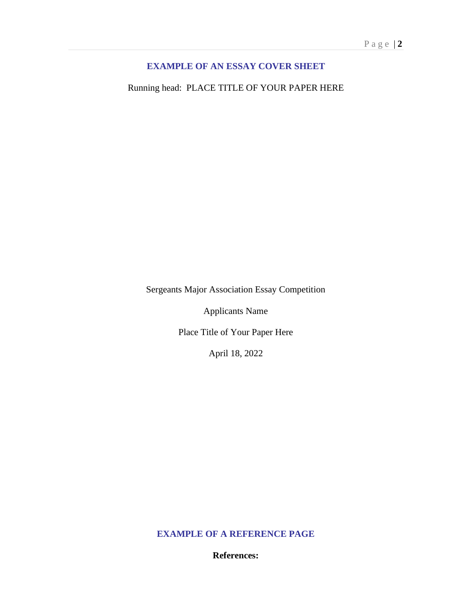### **EXAMPLE OF AN ESSAY COVER SHEET**

Running head: PLACE TITLE OF YOUR PAPER HERE

Sergeants Major Association Essay Competition

Applicants Name

Place Title of Your Paper Here

April 18, 2022

**EXAMPLE OF A REFERENCE PAGE**

**References:**